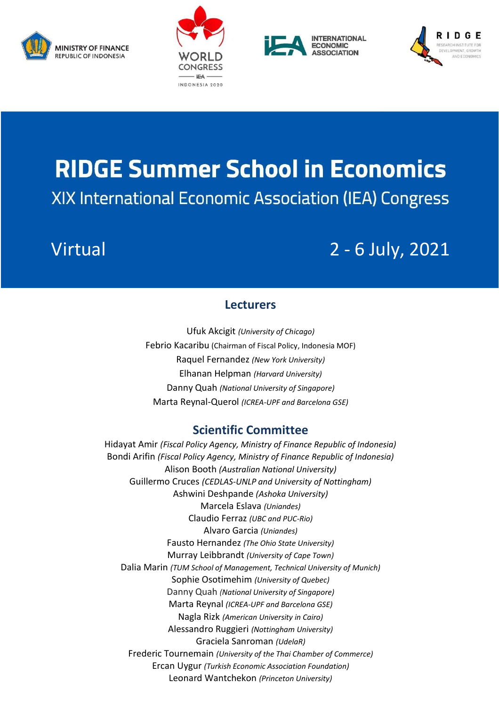







# **RIDGE Summer School in Economics XIX International Economic Association (IEA) Congress**

# Virtual 2 - 6 July, 2021

### **Lecturers**

Ufuk Akcigit *(University of Chicago)* Febrio Kacaribu (Chairman of Fiscal Policy, Indonesia MOF) Raquel Fernandez *(New York University)* Elhanan Helpman *(Harvard University)* Danny Quah *(National University of Singapore)* Marta Reynal-Querol *(ICREA-UPF and Barcelona GSE)*

## **Scientific Committee**

Hidayat Amir *(Fiscal Policy Agency, Ministry of Finance Republic of Indonesia)* Bondi Arifin *(Fiscal Policy Agency, Ministry of Finance Republic of Indonesia)* Alison Booth *(Australian National University)* Guillermo Cruces *(CEDLAS-UNLP and University of Nottingham)* Ashwini Deshpande *(Ashoka University)* Marcela Eslava *(Uniandes)* Claudio Ferraz *(UBC and PUC-Rio)* Alvaro Garcia *(Uniandes)* Fausto Hernandez *[\(The Ohio State University\)](https://www.osu.edu/)* Murray Leibbrandt *[\(University of Cape Town\)](https://en.wikipedia.org/wiki/University_of_Cape_Town)* Dalia Marin *(TUM School of Management, Technical University of Munich)* Sophie Osotimehim *(University of Quebec)* Danny Quah *(National University of Singapore)* Marta Reynal *(ICREA-UPF and Barcelona GSE)* Nagla Rizk *[\(American University in Cairo\)](http://www1.aucegypt.edu/faculty/naglarzk/)* Alessandro Ruggieri *(Nottingham University)* Graciela Sanroman *(UdelaR)* Frederic Tournemain *(University of the Thai Chamber of Commerce)* Ercan Uygur *(Turkish Economic Association Foundation)* Leonard Wantchekon *(Princeton University)*